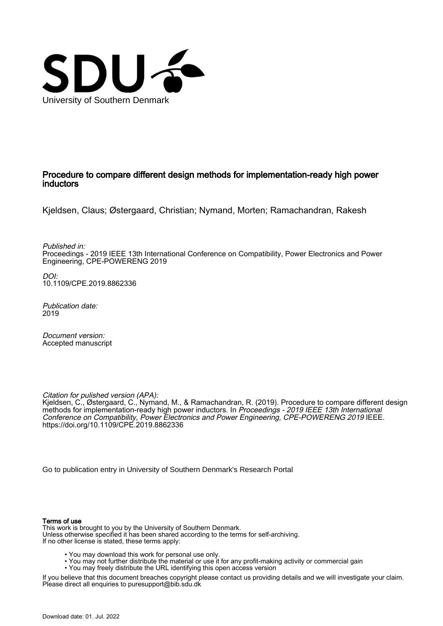

## Procedure to compare different design methods for implementation-ready high power inductors

Kjeldsen, Claus; Østergaard, Christian; Nymand, Morten; Ramachandran, Rakesh

Published in: Proceedings - 2019 IEEE 13th International Conference on Compatibility, Power Electronics and Power Engineering, CPE-POWERENG 2019

DOI: [10.1109/CPE.2019.8862336](https://doi.org/10.1109/CPE.2019.8862336)

Publication date: 2019

Document version: Accepted manuscript

Citation for pulished version (APA):

Kjeldsen, C., Østergaard, C., Nymand, M., & Ramachandran, R. (2019). Procedure to compare different design methods for implementation-ready high power inductors. In Proceedings - 2019 IEEE 13th International Conference on Compatibility, Power Electronics and Power Engineering, CPE-POWERENG 2019 IEEE. <https://doi.org/10.1109/CPE.2019.8862336>

[Go to publication entry in University of Southern Denmark's Research Portal](https://portal.findresearcher.sdu.dk/en/publications/9f0ed580-b069-4a62-b3fe-63df07b59520)

#### Terms of use

This work is brought to you by the University of Southern Denmark. Unless otherwise specified it has been shared according to the terms for self-archiving. If no other license is stated, these terms apply:

- You may download this work for personal use only.
- You may not further distribute the material or use it for any profit-making activity or commercial gain
	- You may freely distribute the URL identifying this open access version

If you believe that this document breaches copyright please contact us providing details and we will investigate your claim. Please direct all enquiries to puresupport@bib.sdu.dk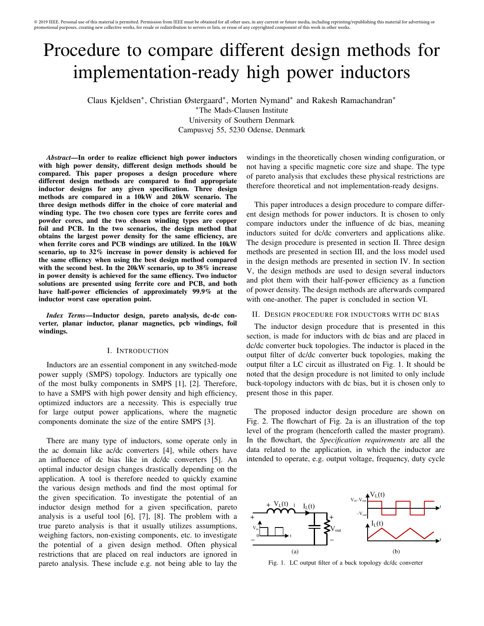# Procedure to compare different design methods for implementation-ready high power inductors

Claus Kjeldsen<sup>∗</sup> , Christian Østergaard<sup>∗</sup> , Morten Nymand<sup>∗</sup> and Rakesh Ramachandran<sup>∗</sup>

<sup>∗</sup>The Mads-Clausen Institute

University of Southern Denmark Campusvej 55, 5230 Odense, Denmark

*Abstract*—In order to realize efficienct high power inductors with high power density, different design methods should be compared. This paper proposes a design procedure where different design methods are compared to find appropriate inductor designs for any given specification. Three design methods are compared in a 10kW and 20kW scenario. The three design methods differ in the choice of core material and winding type. The two chosen core types are ferrite cores and powder cores, and the two chosen winding types are copper foil and PCB. In the two scenarios, the design method that obtains the largest power density for the same efficiency, are when ferrite cores and PCB windings are utilized. In the 10kW scenario, up to 32% increase in power density is achieved for the same effiency when using the best design method compared with the second best. In the 20kW scenario, up to 38% increase in power density is achieved for the same effiency. Two inductor solutions are presented using ferrite core and PCB, and both have half-power efficiencies of approximately 99.9% at the inductor worst case operation point.

*Index Terms*—Inductor design, pareto analysis, dc-dc converter, planar inductor, planar magnetics, pcb windings, foil windings.

#### I. INTRODUCTION

Inductors are an essential component in any switched-mode power supply (SMPS) topology. Inductors are typically one of the most bulky components in SMPS [1], [2]. Therefore, to have a SMPS with high power density and high efficiency, optimized inductors are a necessity. This is especially true for large output power applications, where the magnetic components dominate the size of the entire SMPS [3].

There are many type of inductors, some operate only in the ac domain like ac/dc converters [4], while others have an influence of dc bias like in dc/dc converters [5]. An optimal inductor design changes drastically depending on the application. A tool is therefore needed to quickly examine the various design methods and find the most optimal for the given specification. To investigate the potential of an inductor design method for a given specification, pareto analysis is a useful tool [6], [7], [8]. The problem with a true pareto analysis is that it usually utilizes assumptions, weighing factors, non-existing components, etc. to investigate the potential of a given design method. Often physical restrictions that are placed on real inductors are ignored in pareto analysis. These include e.g. not being able to lay the

windings in the theoretically chosen winding configuration, or not having a specific magnetic core size and shape. The type of pareto analysis that excludes these physical restrictions are therefore theoretical and not implementation-ready designs.

This paper introduces a design procedure to compare different design methods for power inductors. It is chosen to only compare inductors under the influence of dc bias, meaning inductors suited for dc/dc converters and applications alike. The design procedure is presented in section II. Three design methods are presented in section III, and the loss model used in the design methods are presented in section IV. In section V, the design methods are used to design several inductors and plot them with their half-power efficiency as a function of power density. The design methods are afterwards compared with one-another. The paper is concluded in section VI.

#### II. DESIGN PROCEDURE FOR INDUCTORS WITH DC BIAS

The inductor design procedure that is presented in this section, is made for inductors with dc bias and are placed in dc/dc converter buck topologies. The inductor is placed in the output filter of dc/dc converter buck topologies, making the output filter a LC circuit as illustrated on Fig. 1. It should be noted that the design procedure is not limited to only include buck-topology inductors with dc bias, but it is chosen only to present those in this paper.

The proposed inductor design procedure are shown on Fig. 2. The flowchart of Fig. 2a is an illustration of the top level of the program (henceforth called the master program). In the flowchart, the *Specification requirements* are all the data related to the application, in which the inductor are intended to operate, e.g. output voltage, frequency, duty cycle



Fig. 1. LC output filter of a buck topology dc/dc converter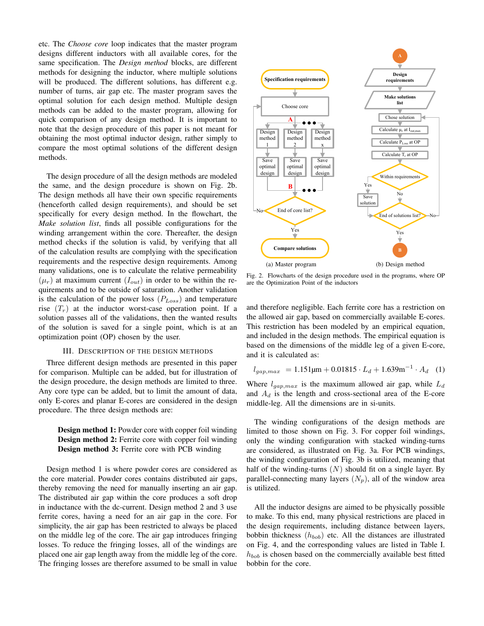etc. The *Choose core* loop indicates that the master program designs different inductors with all available cores, for the same specification. The *Design method* blocks, are different methods for designing the inductor, where multiple solutions will be produced. The different solutions, has different e.g. number of turns, air gap etc. The master program saves the optimal solution for each design method. Multiple design methods can be added to the master program, allowing for quick comparison of any design method. It is important to note that the design procedure of this paper is not meant for obtaining the most optimal inductor design, rather simply to compare the most optimal solutions of the different design methods.

The design procedure of all the design methods are modeled the same, and the design procedure is shown on Fig. 2b. The design methods all have their own specific requirements (henceforth called design requirements), and should be set specifically for every design method. In the flowchart, the *Make solution list*, finds all possible configurations for the winding arrangement within the core. Thereafter, the design method checks if the solution is valid, by verifying that all of the calculation results are complying with the specification requirements and the respective design requirements. Among many validations, one is to calculate the relative permeability  $(\mu_r)$  at maximum current  $(I_{out})$  in order to be within the requirements and to be outside of saturation. Another validation is the calculation of the power loss  $(P_{Loss})$  and temperature rise  $(T_r)$  at the inductor worst-case operation point. If a solution passes all of the validations, then the wanted results of the solution is saved for a single point, which is at an optimization point (OP) chosen by the user.

#### III. DESCRIPTION OF THE DESIGN METHODS

Three different design methods are presented in this paper for comparison. Multiple can be added, but for illustration of the design procedure, the design methods are limited to three. Any core type can be added, but to limit the amount of data, only E-cores and planar E-cores are considered in the design procedure. The three design methods are:

### Design method 1: Powder core with copper foil winding Design method 2: Ferrite core with copper foil winding Design method 3: Ferrite core with PCB winding

Design method 1 is where powder cores are considered as the core material. Powder cores contains distributed air gaps, thereby removing the need for manually inserting an air gap. The distributed air gap within the core produces a soft drop in inductance with the dc-current. Design method 2 and 3 use ferrite cores, having a need for an air gap in the core. For simplicity, the air gap has been restricted to always be placed on the middle leg of the core. The air gap introduces fringing losses. To reduce the fringing losses, all of the windings are placed one air gap length away from the middle leg of the core. The fringing losses are therefore assumed to be small in value



Fig. 2. Flowcharts of the design procedure used in the programs, where OP are the Optimization Point of the inductors

and therefore negligible. Each ferrite core has a restriction on the allowed air gap, based on commercially available E-cores. This restriction has been modeled by an empirical equation, and included in the design methods. The empirical equation is based on the dimensions of the middle leg of a given E-core, and it is calculated as:

$$
l_{gap,max} = 1.151 \mu m + 0.01815 \cdot L_d + 1.639 m^{-1} \cdot A_d
$$
 (1)

Where  $l_{qap,max}$  is the maximum allowed air gap, while  $L_d$ and  $A_d$  is the length and cross-sectional area of the E-core middle-leg. All the dimensions are in si-units.

The winding configurations of the design methods are limited to those shown on Fig. 3. For copper foil windings, only the winding configuration with stacked winding-turns are considered, as illustrated on Fig. 3a. For PCB windings, the winding configuration of Fig. 3b is utilized, meaning that half of the winding-turns  $(N)$  should fit on a single layer. By parallel-connecting many layers  $(N_p)$ , all of the window area is utilized.

All the inductor designs are aimed to be physically possible to make. To this end, many physical restrictions are placed in the design requirements, including distance between layers, bobbin thickness  $(h_{bob})$  etc. All the distances are illustrated on Fig. 4, and the corresponding values are listed in Table I.  $h_{bob}$  is chosen based on the commercially available best fitted bobbin for the core.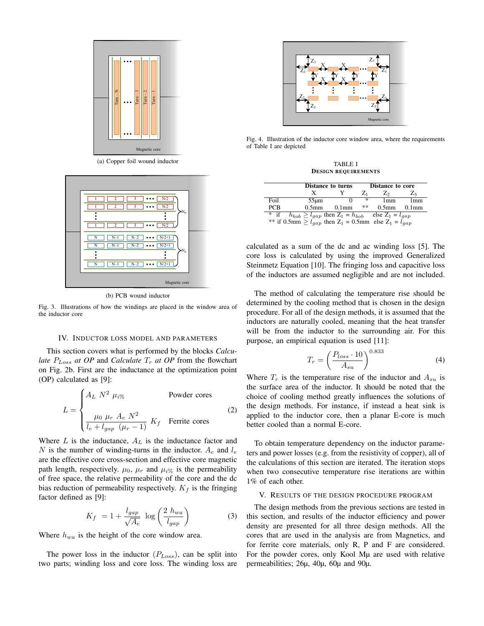

(a) Copper foil wound inductor



(b) PCB wound inductor

Fig. 3. Illustrations of how the windings are placed in the window area of the inductor core

#### IV. INDUCTOR LOSS MODEL AND PARAMETERS

This section covers what is performed by the blocks *Calculate*  $P_{Loss}$  *at OP* and *Calculate*  $T_r$  *at OP* from the flowchart on Fig. 2b. First are the inductance at the optimization point (OP) calculated as [9]:

$$
L = \begin{cases} A_L \ N^2 \ \mu_{i\%} & \text{Power cores} \\ \frac{\mu_0 \ \mu_r \ A_e \ N^2}{l_e + l_{gap} \ (\mu_r - 1)} \ K_f & \text{Ferrite cores} \end{cases}
$$
 (2)

Where  $L$  is the inductance,  $A_L$  is the inductance factor and N is the number of winding-turns in the inductor.  $A_e$  and  $l_e$ are the effective core cross-section and effective core magnetic path length, respectively.  $\mu_0$ ,  $\mu_r$  and  $\mu_{i\%}$  is the permeability of free space, the relative permeability of the core and the dc bias reduction of permeability respectively.  $K_f$  is the fringing factor defined as [9]:

$$
K_f = 1 + \frac{l_{gap}}{\sqrt{A_e}} \log \left( \frac{2 h_{wa}}{l_{gap}} \right)
$$
 (3)

Where  $h_{wa}$  is the height of the core window area.

The power loss in the inductor  $(P_{Loss})$ , can be split into two parts; winding loss and core loss. The winding loss are



Fig. 4. Illustration of the inductor core window area, where the requirements of Table I are depicted

TABLE I DESIGN REQUIREMENTS

|                                                                              |                   | <b>Distance to turns</b> |    | Distance to core |          |  |  |  |
|------------------------------------------------------------------------------|-------------------|--------------------------|----|------------------|----------|--|--|--|
|                                                                              |                   |                          |    | Z٥               | $Z_3$    |  |  |  |
| Foil                                                                         | $55 \mu m$        |                          | *  | 1mm              | 1mm      |  |  |  |
| <b>PCB</b>                                                                   | 0.5 <sub>mm</sub> | $0.1$ mm                 | ** | $0.5$ mm         | $0.1$ mm |  |  |  |
| $*$ if<br>$h_{bob} \ge l_{gap}$ then $Z_1 = h_{bob}$<br>else $Z_1 = l_{gap}$ |                   |                          |    |                  |          |  |  |  |
| ** if 0.5mm $\geq l_{gap}$ then $Z_1 = 0.5$ mm else $Z_1 = l_{gap}$          |                   |                          |    |                  |          |  |  |  |

calculated as a sum of the dc and ac winding loss [5]. The core loss is calculated by using the improved Generalized Steinmetz Equation [10]. The fringing loss and capacitive loss of the inductors are assumed negligible and are not included.

The method of calculating the temperature rise should be determined by the cooling method that is chosen in the design procedure. For all of the design methods, it is assumed that the inductors are naturally cooled, meaning that the heat transfer will be from the inductor to the surrounding air. For this purpose, an empirical equation is used [11]:

$$
T_r = \left(\frac{P_{loss} \cdot 10}{A_{su}}\right)^{0.833} \tag{4}
$$

Where  $T_r$  is the temperature rise of the inductor and  $A_{su}$  is the surface area of the inductor. It should be noted that the choice of cooling method greatly influences the solutions of the design methods. For instance, if instead a heat sink is applied to the inductor core, then a planar E-core is much better cooled than a normal E-core.

To obtain temperature dependency on the inductor parameters and power losses (e.g. from the resistivity of copper), all of the calculations of this section are iterated. The iteration stops when two consecutive temperature rise iterations are within 1% of each other.

#### V. RESULTS OF THE DESIGN PROCEDURE PROGRAM

The design methods from the previous sections are tested in this section, and results of the inductor efficiency and power density are presented for all three design methods. All the cores that are used in the analysis are from Magnetics, and for ferrite core materials, only R, P and F are considered. For the powder cores, only Kool Mµ are used with relative permeabilities; 26µ, 40µ, 60µ and 90µ.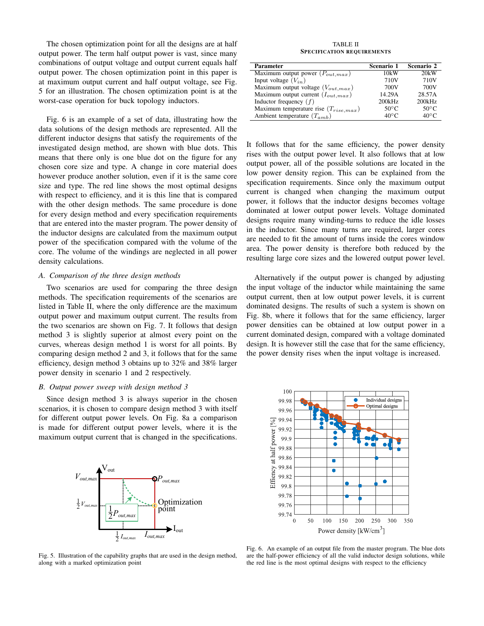The chosen optimization point for all the designs are at half output power. The term half output power is vast, since many combinations of output voltage and output current equals half output power. The chosen optimization point in this paper is at maximum output current and half output voltage, see Fig. 5 for an illustration. The chosen optimization point is at the worst-case operation for buck topology inductors.

Fig. 6 is an example of a set of data, illustrating how the data solutions of the design methods are represented. All the different inductor designs that satisfy the requirements of the investigated design method, are shown with blue dots. This means that there only is one blue dot on the figure for any chosen core size and type. A change in core material does however produce another solution, even if it is the same core size and type. The red line shows the most optimal designs with respect to efficiency, and it is this line that is compared with the other design methods. The same procedure is done for every design method and every specification requirements that are entered into the master program. The power density of the inductor designs are calculated from the maximum output power of the specification compared with the volume of the core. The volume of the windings are neglected in all power density calculations.

#### *A. Comparison of the three design methods*

Two scenarios are used for comparing the three design methods. The specification requirements of the scenarios are listed in Table II, where the only difference are the maximum output power and maximum output current. The results from the two scenarios are shown on Fig. 7. It follows that design method 3 is slightly superior at almost every point on the curves, whereas design method 1 is worst for all points. By comparing design method 2 and 3, it follows that for the same efficiency, design method 3 obtains up to 32% and 38% larger power density in scenario 1 and 2 respectively.

#### *B. Output power sweep with design method 3*

Since design method 3 is always superior in the chosen scenarios, it is chosen to compare design method 3 with itself for different output power levels. On Fig. 8a a comparison is made for different output power levels, where it is the maximum output current that is changed in the specifications.



TABLE II SPECIFICATION REQUIREMENTS

| <b>Parameter</b>                           | Scenario 1       | Scenario 2       |
|--------------------------------------------|------------------|------------------|
| Maximum output power $(P_{out,max})$       | 10kW             | 20kW             |
| Input voltage $(V_{in})$                   | 710 <sub>V</sub> | 710 <sub>V</sub> |
| Maximum output voltage $(V_{out,max})$     | 700V             | 700V             |
| Maximum output current $(I_{out,max})$     | 14.29A           | 28.57A           |
| Inductor frequency $(f)$                   | 200kHz           | 200kHz           |
| Maximum temperature rise $(T_{rise, max})$ | 50 $\degree$ C   | $50^{\circ}$ C   |
| Ambient temperature $(T_{amb})$            | $40^{\circ}$ C   | $40^{\circ}C$    |

It follows that for the same efficiency, the power density rises with the output power level. It also follows that at low output power, all of the possible solutions are located in the low power density region. This can be explained from the specification requirements. Since only the maximum output current is changed when changing the maximum output power, it follows that the inductor designs becomes voltage dominated at lower output power levels. Voltage dominated designs require many winding-turns to reduce the idle losses in the inductor. Since many turns are required, larger cores are needed to fit the amount of turns inside the cores window area. The power density is therefore both reduced by the resulting large core sizes and the lowered output power level.

Alternatively if the output power is changed by adjusting the input voltage of the inductor while maintaining the same output current, then at low output power levels, it is current dominated designs. The results of such a system is shown on Fig. 8b, where it follows that for the same efficiency, larger power densities can be obtained at low output power in a current dominated design, compared with a voltage dominated design. It is however still the case that for the same efficiency, the power density rises when the input voltage is increased.



Fig. 5. Illustration of the capability graphs that are used in the design method, along with a marked optimization point

Fig. 6. An example of an output file from the master program. The blue dots are the half-power efficiency of all the valid inductor design solutions, while the red line is the most optimal designs with respect to the efficiency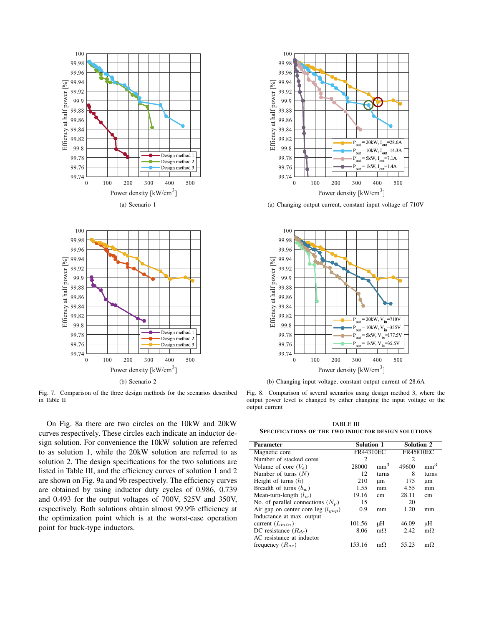



Fig. 7. Comparison of the three design methods for the scenarios described in Table II

On Fig. 8a there are two circles on the 10kW and 20kW curves respectively. These circles each indicate an inductor design solution. For convenience the 10kW solution are referred to as solution 1, while the 20kW solution are referred to as solution 2. The design specifications for the two solutions are listed in Table III, and the efficiency curves of solution 1 and 2 are shown on Fig. 9a and 9b respectively. The efficiency curves are obtained by using inductor duty cycles of 0.986, 0.739 and 0.493 for the output voltages of 700V, 525V and 350V, respectively. Both solutions obtain almost 99.9% efficiency at the optimization point which is at the worst-case operation point for buck-type inductors.



(a) Changing output current, constant input voltage of 710V



(b) Changing input voltage, constant output current of 28.6A

Fig. 8. Comparison of several scenarios using design method 3, where the output power level is changed by either changing the input voltage or the output current

TABLE III SPECIFICATIONS OF THE TWO INDUCTOR DESIGN SOLUTIONS

| Parameter                              | <b>Solution 1</b>           |                 | <b>Solution 2</b> |                 |
|----------------------------------------|-----------------------------|-----------------|-------------------|-----------------|
| Magnetic core                          | FR44310EC                   |                 | FR45810EC         |                 |
| Number of stacked cores                | $\mathcal{D}_{\mathcal{L}}$ |                 | 2                 |                 |
| Volume of core $(V_e)$                 | 28000                       | mm <sup>3</sup> | 49600             | mm <sup>3</sup> |
| Number of turns $(N)$                  | 12                          | turns           | 8                 | turns           |
| Height of turns $(h)$                  | 210                         | μm              | 175               | μm              |
| Breadth of turns $(b_w)$               | 1.55                        | mm              | 4.55              | mm              |
| Mean-turn-length $(l_w)$               | 19.16                       | cm              | 28.11             | cm              |
| No. of parallel connections $(N_p)$    | 15                          |                 | 20                |                 |
| Air gap on center core leg $(l_{gap})$ | 0.9                         | mm              | 1.20              | mm              |
| Inductance at max. output              |                             |                 |                   |                 |
| current $(L_{min})$                    | 101.56                      | μH              | 46.09             | μH              |
| DC resistance $(R_{dc})$               | 8.06                        | $m\Omega$       | 2.42              | $m\Omega$       |
| AC resistance at inductor              |                             |                 |                   |                 |
| frequency $(R_{ac})$                   | 153.16                      | $m\Omega$       | 55.23             | $m\Omega$       |